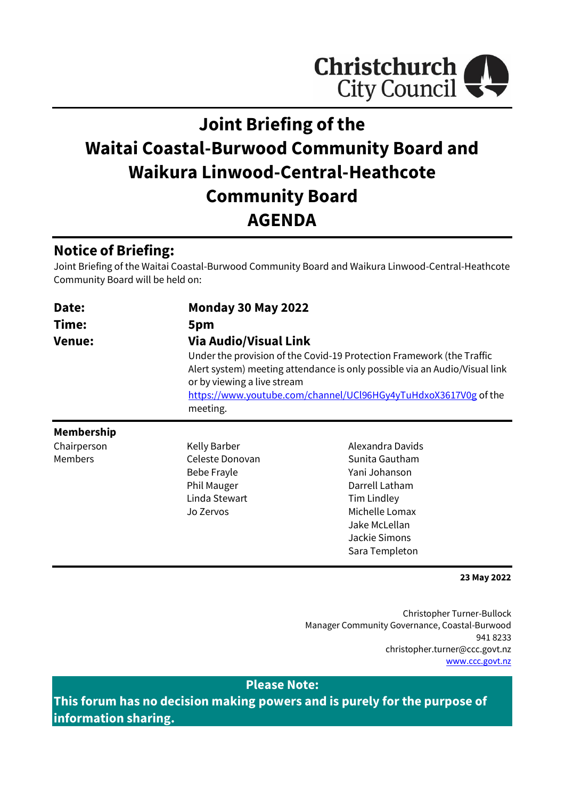

# **Joint Briefing of the Waitai Coastal-Burwood Community Board and Waikura Linwood-Central-Heathcote Community Board AGENDA**

# **Notice of Briefing:**

Joint Briefing of the Waitai Coastal-Burwood Community Board and Waikura Linwood-Central-Heathcote Community Board will be held on:

| Date:                                                                                                                                                             | <b>Monday 30 May 2022</b> |                                                                                                                                               |
|-------------------------------------------------------------------------------------------------------------------------------------------------------------------|---------------------------|-----------------------------------------------------------------------------------------------------------------------------------------------|
| Time:                                                                                                                                                             | 5pm                       |                                                                                                                                               |
| <b>Via Audio/Visual Link</b><br><b>Venue:</b><br>Under the provision of the Covid-19 Protection Framework (the Traffic<br>or by viewing a live stream<br>meeting. |                           | Alert system) meeting attendance is only possible via an Audio/Visual link<br>https://www.youtube.com/channel/UCl96HGy4yTuHdxoX3617V0g of the |
| <b>Membership</b>                                                                                                                                                 |                           |                                                                                                                                               |
| Chairperson                                                                                                                                                       | Kelly Barber              | Alexandra Davids                                                                                                                              |
| <b>Members</b>                                                                                                                                                    | Celeste Donovan           | Sunita Gautham                                                                                                                                |
|                                                                                                                                                                   | Bebe Frayle               | Yani Johanson                                                                                                                                 |
|                                                                                                                                                                   | Phil Mauger               | Darrell Latham                                                                                                                                |
|                                                                                                                                                                   | Linda Stewart             | <b>Tim Lindley</b>                                                                                                                            |
|                                                                                                                                                                   | Jo Zervos                 | Michelle Lomax                                                                                                                                |
|                                                                                                                                                                   |                           | Jake McLellan                                                                                                                                 |

#### **23 May 2022**

Christopher Turner-Bullock Manager Community Governance, Coastal-Burwood 941 8233 christopher.turner@ccc.govt.nz [www.ccc.govt.nz](http://www.ccc.govt.nz/)

Jackie Simons Sara Templeton

**Please Note:**

**This forum has no decision making powers and is purely for the purpose of information sharing.**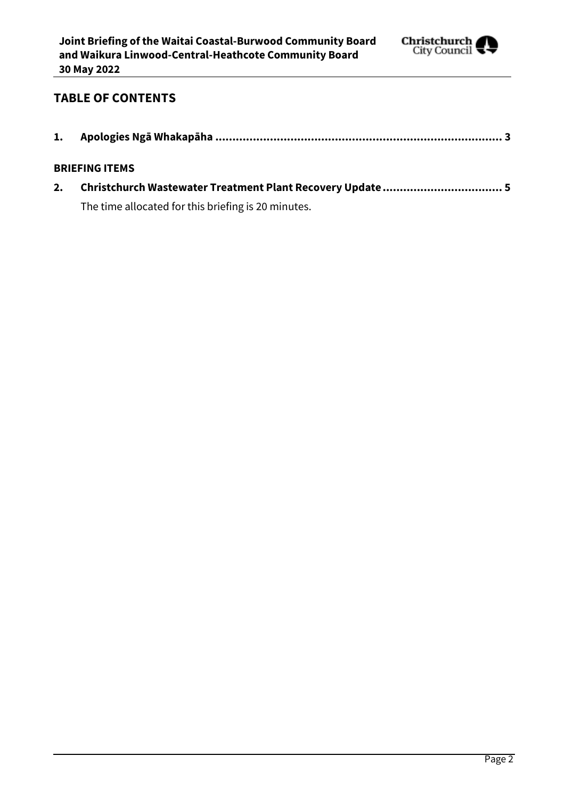

### **TABLE OF CONTENTS**

| <b>BRIEFING ITEMS</b> |
|-----------------------|
|                       |

The time allocated for this briefing is 20 minutes.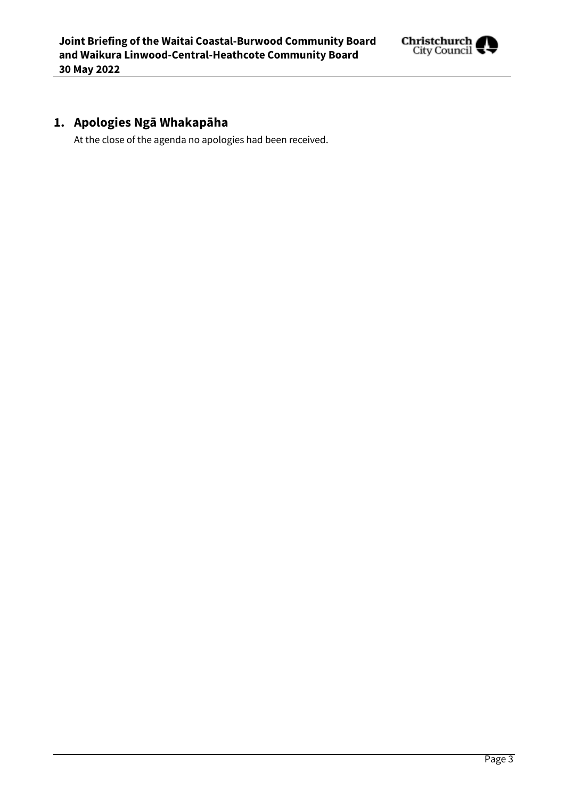

# <span id="page-2-0"></span>**1. Apologies Ngā Whakapāha**

At the close of the agenda no apologies had been received.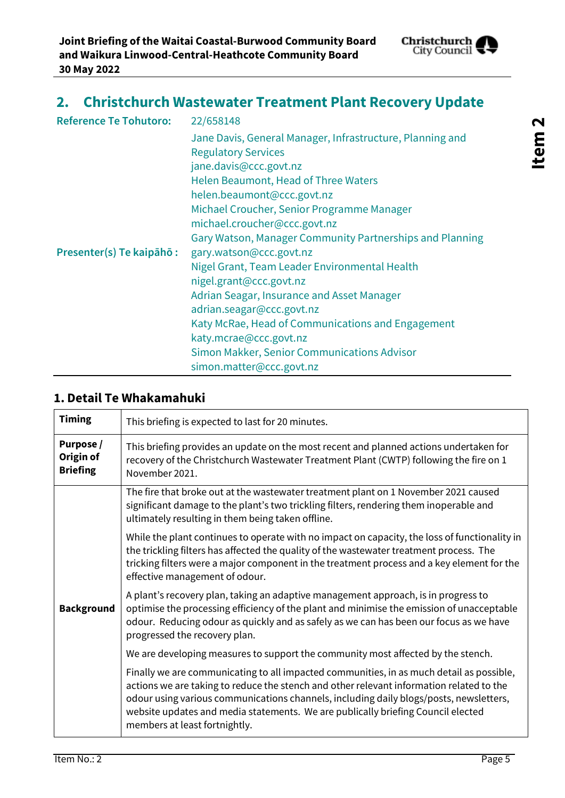

<span id="page-4-0"></span>

| <b>Reference Te Tohutoro:</b> | 22/658148                                                 |
|-------------------------------|-----------------------------------------------------------|
|                               | Jane Davis, General Manager, Infrastructure, Planning and |
|                               | <b>Regulatory Services</b>                                |
|                               | jane.davis@ccc.govt.nz                                    |
|                               | Helen Beaumont, Head of Three Waters                      |
|                               | helen.beaumont@ccc.govt.nz                                |
|                               | Michael Croucher, Senior Programme Manager                |
|                               | michael.croucher@ccc.govt.nz                              |
|                               | Gary Watson, Manager Community Partnerships and Planning  |
| Presenter(s) Te kaipāhō :     | gary.watson@ccc.govt.nz                                   |
|                               | Nigel Grant, Team Leader Environmental Health             |
|                               | nigel.grant@ccc.govt.nz                                   |
|                               | Adrian Seagar, Insurance and Asset Manager                |
|                               | adrian.seagar@ccc.govt.nz                                 |
|                               | Katy McRae, Head of Communications and Engagement         |
|                               | katy.mcrae@ccc.govt.nz                                    |
|                               | Simon Makker, Senior Communications Advisor               |
|                               | simon.matter@ccc.govt.nz                                  |

#### **1. Detail Te Whakamahuki**

| <b>Timing</b>                             | This briefing is expected to last for 20 minutes.                                                                                                                                                                                                                                                                                                                                                   |  |
|-------------------------------------------|-----------------------------------------------------------------------------------------------------------------------------------------------------------------------------------------------------------------------------------------------------------------------------------------------------------------------------------------------------------------------------------------------------|--|
| Purpose /<br>Origin of<br><b>Briefing</b> | This briefing provides an update on the most recent and planned actions undertaken for<br>recovery of the Christchurch Wastewater Treatment Plant (CWTP) following the fire on 1<br>November 2021.                                                                                                                                                                                                  |  |
|                                           | The fire that broke out at the wastewater treatment plant on 1 November 2021 caused<br>significant damage to the plant's two trickling filters, rendering them inoperable and<br>ultimately resulting in them being taken offline.                                                                                                                                                                  |  |
|                                           | While the plant continues to operate with no impact on capacity, the loss of functionality in<br>the trickling filters has affected the quality of the wastewater treatment process. The<br>tricking filters were a major component in the treatment process and a key element for the<br>effective management of odour.                                                                            |  |
| <b>Background</b>                         | A plant's recovery plan, taking an adaptive management approach, is in progress to<br>optimise the processing efficiency of the plant and minimise the emission of unacceptable<br>odour. Reducing odour as quickly and as safely as we can has been our focus as we have<br>progressed the recovery plan.                                                                                          |  |
|                                           | We are developing measures to support the community most affected by the stench.                                                                                                                                                                                                                                                                                                                    |  |
|                                           | Finally we are communicating to all impacted communities, in as much detail as possible,<br>actions we are taking to reduce the stench and other relevant information related to the<br>odour using various communications channels, including daily blogs/posts, newsletters,<br>website updates and media statements. We are publically briefing Council elected<br>members at least fortnightly. |  |